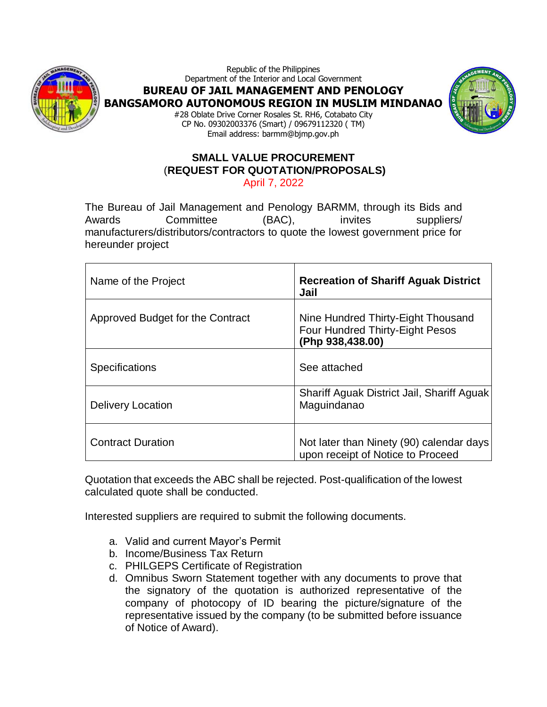

Republic of the Philippines Department of the Interior and Local Government **BUREAU OF JAIL MANAGEMENT AND PENOLOGY BANGSAMORO AUTONOMOUS REGION IN MUSLIM MINDANAO** #28 Oblate Drive Corner Rosales St. RH6, Cotabato City CP No. 09302003376 (Smart) / 09679112320 ( TM)



Email address: barmm@bjmp.gov.ph

#### **SMALL VALUE PROCUREMENT** (**REQUEST FOR QUOTATION/PROPOSALS)** April 7, 2022

The Bureau of Jail Management and Penology BARMM, through its Bids and Awards Committee (BAC), invites suppliers/ manufacturers/distributors/contractors to quote the lowest government price for hereunder project

| Name of the Project              | <b>Recreation of Shariff Aguak District</b><br>Jail                                              |
|----------------------------------|--------------------------------------------------------------------------------------------------|
| Approved Budget for the Contract | Nine Hundred Thirty-Eight Thousand<br><b>Four Hundred Thirty-Eight Pesos</b><br>(Php 938,438.00) |
| Specifications                   | See attached                                                                                     |
| Delivery Location                | Shariff Aguak District Jail, Shariff Aguak<br>Maguindanao                                        |
| <b>Contract Duration</b>         | Not later than Ninety (90) calendar days<br>upon receipt of Notice to Proceed                    |

Quotation that exceeds the ABC shall be rejected. Post-qualification of the lowest calculated quote shall be conducted.

Interested suppliers are required to submit the following documents.

- a. Valid and current Mayor's Permit
- b. Income/Business Tax Return
- c. PHILGEPS Certificate of Registration
- d. Omnibus Sworn Statement together with any documents to prove that the signatory of the quotation is authorized representative of the company of photocopy of ID bearing the picture/signature of the representative issued by the company (to be submitted before issuance of Notice of Award).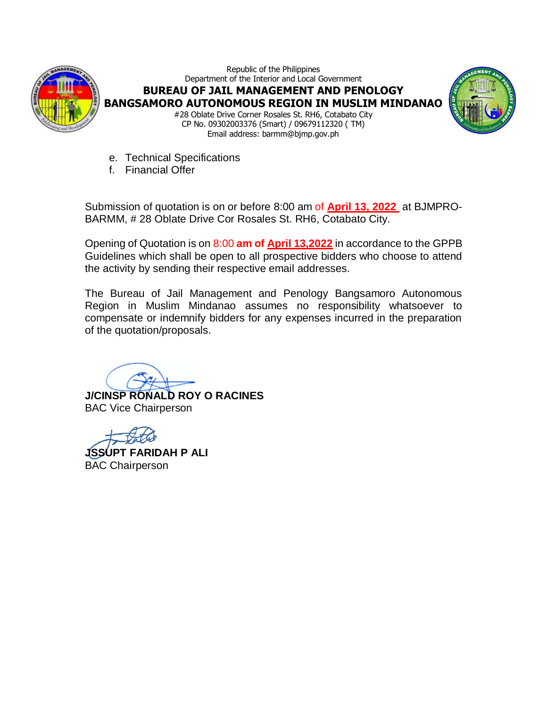

Republic of the Philippines Department of the Interior and Local Government **BUREAU OF JAIL MANAGEMENT AND PENOLOGY BANGSAMORO AUTONOMOUS REGION IN MUSLIM MINDANAO** #28 Oblate Drive Corner Rosales St. RH6, Cotabato City CP No. 09302003376 (Smart) / 09679112320 ( TM) Email address: barmm@bjmp.gov.ph



- e. Technical Specifications
- f. Financial Offer

Submission of quotation is on or before 8:00 am of **April 13, 2022** at BJMPRO-BARMM, # 28 Oblate Drive Cor Rosales St. RH6, Cotabato City.

Opening of Quotation is on 8:00 **am of April 13,2022** in accordance to the GPPB Guidelines which shall be open to all prospective bidders who choose to attend the activity by sending their respective email addresses.

The Bureau of Jail Management and Penology Bangsamoro Autonomous Region in Muslim Mindanao assumes no responsibility whatsoever to compensate or indemnify bidders for any expenses incurred in the preparation of the quotation/proposals.

**J/CINSP RONALD ROY O RACINES** BAC Vice Chairperson

**JSSUPT FARIDAH P ALI** BAC Chairperson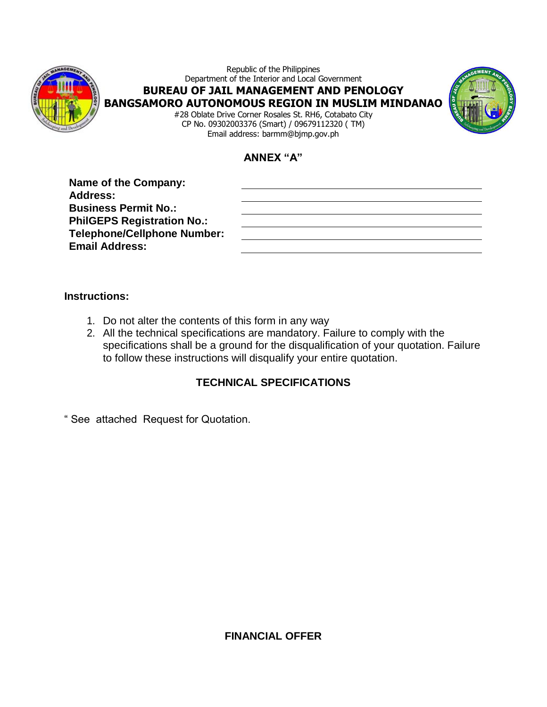

Republic of the Philippines Department of the Interior and Local Government **BUREAU OF JAIL MANAGEMENT AND PENOLOGY BANGSAMORO AUTONOMOUS REGION IN MUSLIM MINDANAO** #28 Oblate Drive Corner Rosales St. RH6, Cotabato City CP No. 09302003376 (Smart) / 09679112320 ( TM)



**ANNEX "A"**

Email address: barmm@bjmp.gov.ph

| <b>Name of the Company:</b>        |  |
|------------------------------------|--|
| <b>Address:</b>                    |  |
| <b>Business Permit No.:</b>        |  |
| <b>PhilGEPS Registration No.:</b>  |  |
| <b>Telephone/Cellphone Number:</b> |  |
| <b>Email Address:</b>              |  |
|                                    |  |

### **Instructions:**

- 1. Do not alter the contents of this form in any way
- 2. All the technical specifications are mandatory. Failure to comply with the specifications shall be a ground for the disqualification of your quotation. Failure to follow these instructions will disqualify your entire quotation.

### **TECHNICAL SPECIFICATIONS**

" See attached Request for Quotation.

**FINANCIAL OFFER**